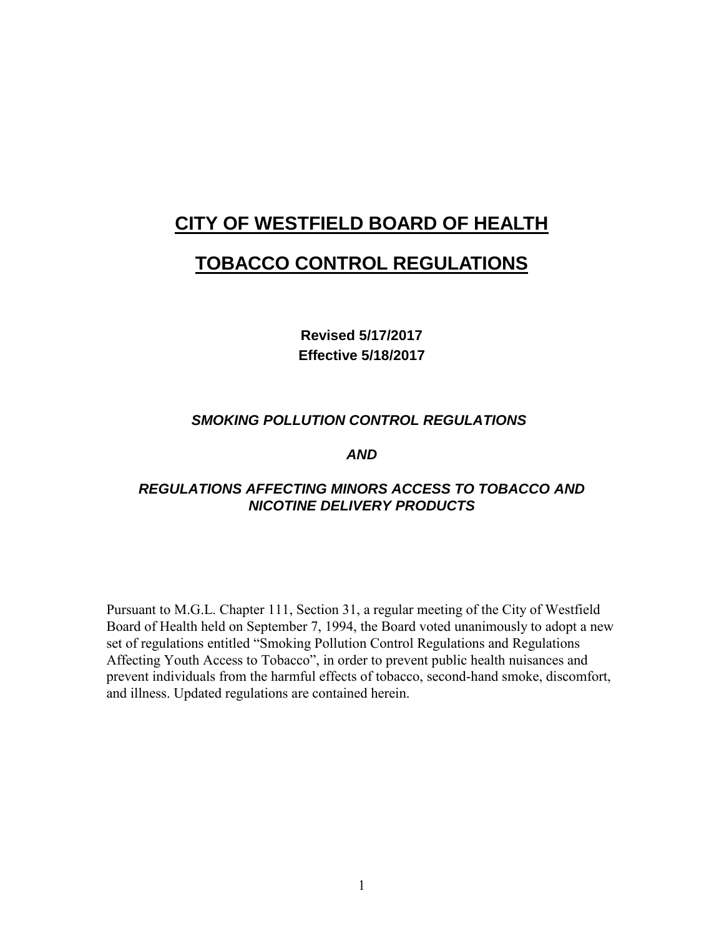# **CITY OF WESTFIELD BOARD OF HEALTH**

# **TOBACCO CONTROL REGULATIONS**

**Revised 5/17/2017 Effective 5/18/2017**

## *SMOKING POLLUTION CONTROL REGULATIONS*

#### *AND*

## *REGULATIONS AFFECTING MINORS ACCESS TO TOBACCO AND NICOTINE DELIVERY PRODUCTS*

Pursuant to M.G.L. Chapter 111, Section 31, a regular meeting of the City of Westfield Board of Health held on September 7, 1994, the Board voted unanimously to adopt a new set of regulations entitled "Smoking Pollution Control Regulations and Regulations Affecting Youth Access to Tobacco", in order to prevent public health nuisances and prevent individuals from the harmful effects of tobacco, second-hand smoke, discomfort, and illness. Updated regulations are contained herein.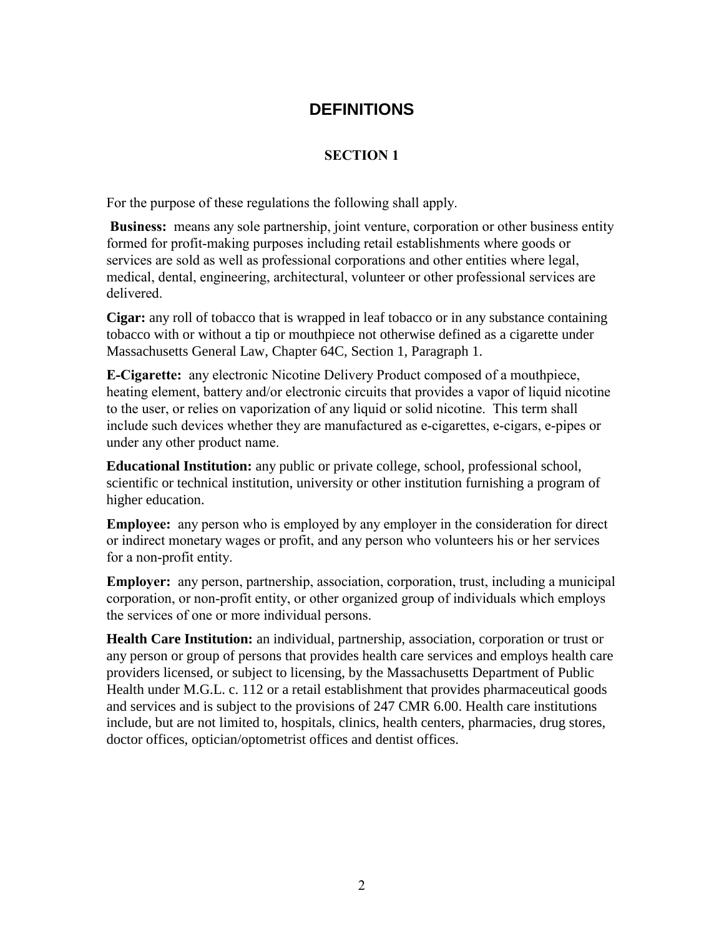## **DEFINITIONS**

## **SECTION 1**

For the purpose of these regulations the following shall apply.

**Business:** means any sole partnership, joint venture, corporation or other business entity formed for profit-making purposes including retail establishments where goods or services are sold as well as professional corporations and other entities where legal, medical, dental, engineering, architectural, volunteer or other professional services are delivered.

**Cigar:** any roll of tobacco that is wrapped in leaf tobacco or in any substance containing tobacco with or without a tip or mouthpiece not otherwise defined as a cigarette under Massachusetts General Law, Chapter 64C, Section 1, Paragraph 1.

**E-Cigarette:** any electronic Nicotine Delivery Product composed of a mouthpiece, heating element, battery and/or electronic circuits that provides a vapor of liquid nicotine to the user, or relies on vaporization of any liquid or solid nicotine. This term shall include such devices whether they are manufactured as e-cigarettes, e-cigars, e-pipes or under any other product name.

**Educational Institution:** any public or private college, school, professional school, scientific or technical institution, university or other institution furnishing a program of higher education.

**Employee:** any person who is employed by any employer in the consideration for direct or indirect monetary wages or profit, and any person who volunteers his or her services for a non-profit entity.

**Employer:** any person, partnership, association, corporation, trust, including a municipal corporation, or non-profit entity, or other organized group of individuals which employs the services of one or more individual persons.

**Health Care Institution:** an individual, partnership, association, corporation or trust or any person or group of persons that provides health care services and employs health care providers licensed, or subject to licensing, by the Massachusetts Department of Public Health under M.G.L. c. 112 or a retail establishment that provides pharmaceutical goods and services and is subject to the provisions of 247 CMR 6.00. Health care institutions include, but are not limited to, hospitals, clinics, health centers, pharmacies, drug stores, doctor offices, optician/optometrist offices and dentist offices.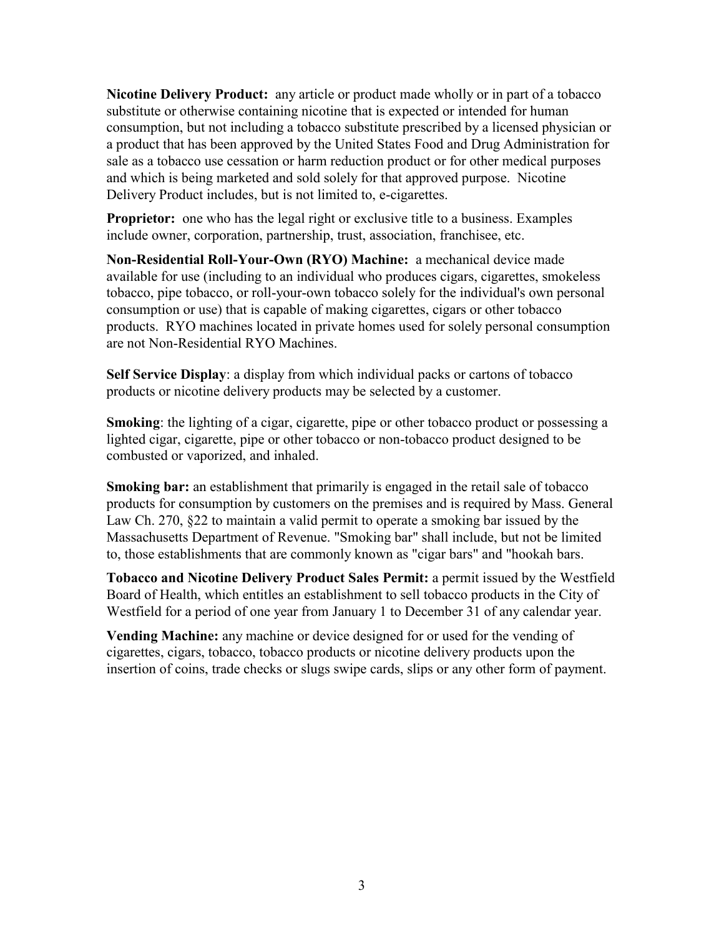**Nicotine Delivery Product:** any article or product made wholly or in part of a tobacco substitute or otherwise containing nicotine that is expected or intended for human consumption, but not including a tobacco substitute prescribed by a licensed physician or a product that has been approved by the United States Food and Drug Administration for sale as a tobacco use cessation or harm reduction product or for other medical purposes and which is being marketed and sold solely for that approved purpose. Nicotine Delivery Product includes, but is not limited to, e-cigarettes.

**Proprietor:** one who has the legal right or exclusive title to a business. Examples include owner, corporation, partnership, trust, association, franchisee, etc.

**Non-Residential Roll-Your-Own (RYO) Machine:** a mechanical device made available for use (including to an individual who produces cigars, cigarettes, smokeless tobacco, pipe tobacco, or roll-your-own tobacco solely for the individual's own personal consumption or use) that is capable of making cigarettes, cigars or other tobacco products. RYO machines located in private homes used for solely personal consumption are not Non-Residential RYO Machines.

**Self Service Display**: a display from which individual packs or cartons of tobacco products or nicotine delivery products may be selected by a customer.

**Smoking**: the lighting of a cigar, cigarette, pipe or other tobacco product or possessing a lighted cigar, cigarette, pipe or other tobacco or non-tobacco product designed to be combusted or vaporized, and inhaled.

**Smoking bar:** an establishment that primarily is engaged in the retail sale of tobacco products for consumption by customers on the premises and is required by Mass. General Law Ch. 270, §22 to maintain a valid permit to operate a smoking bar issued by the Massachusetts Department of Revenue. "Smoking bar" shall include, but not be limited to, those establishments that are commonly known as "cigar bars" and "hookah bars.

**Tobacco and Nicotine Delivery Product Sales Permit:** a permit issued by the Westfield Board of Health, which entitles an establishment to sell tobacco products in the City of Westfield for a period of one year from January 1 to December 31 of any calendar year.

**Vending Machine:** any machine or device designed for or used for the vending of cigarettes, cigars, tobacco, tobacco products or nicotine delivery products upon the insertion of coins, trade checks or slugs swipe cards, slips or any other form of payment.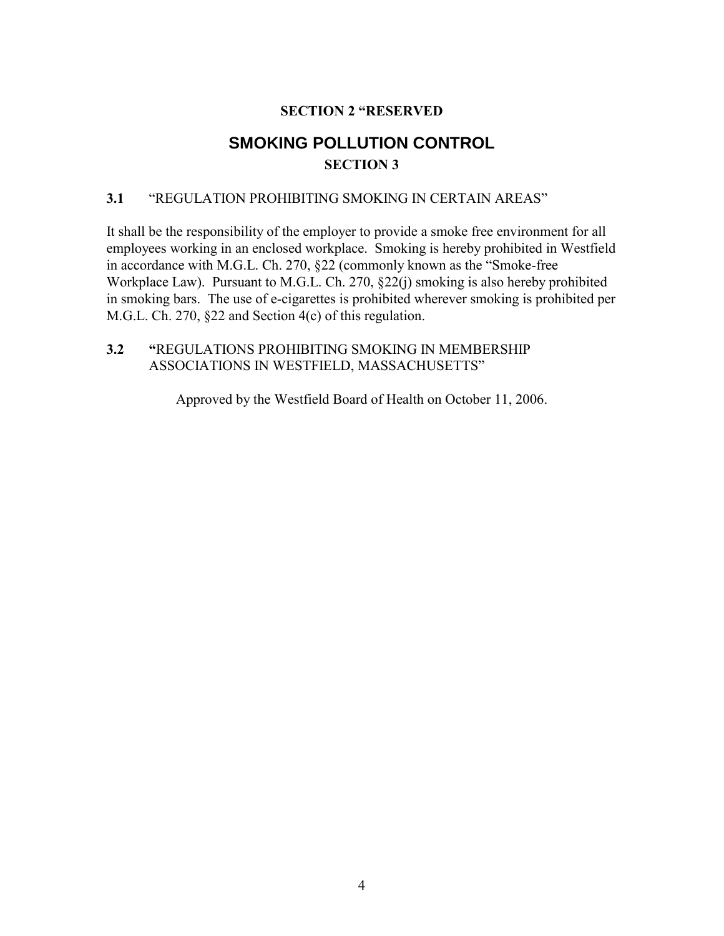## **SECTION 2 "RESERVED**

# **SMOKING POLLUTION CONTROL SECTION 3**

## **3.1** "REGULATION PROHIBITING SMOKING IN CERTAIN AREAS"

It shall be the responsibility of the employer to provide a smoke free environment for all employees working in an enclosed workplace. Smoking is hereby prohibited in Westfield in accordance with M.G.L. Ch. 270, §22 (commonly known as the "Smoke-free Workplace Law). Pursuant to M.G.L. Ch. 270, §22(j) smoking is also hereby prohibited in smoking bars. The use of e-cigarettes is prohibited wherever smoking is prohibited per M.G.L. Ch. 270, §22 and Section 4(c) of this regulation.

## **3.2 "**REGULATIONS PROHIBITING SMOKING IN MEMBERSHIP ASSOCIATIONS IN WESTFIELD, MASSACHUSETTS"

Approved by the Westfield Board of Health on October 11, 2006.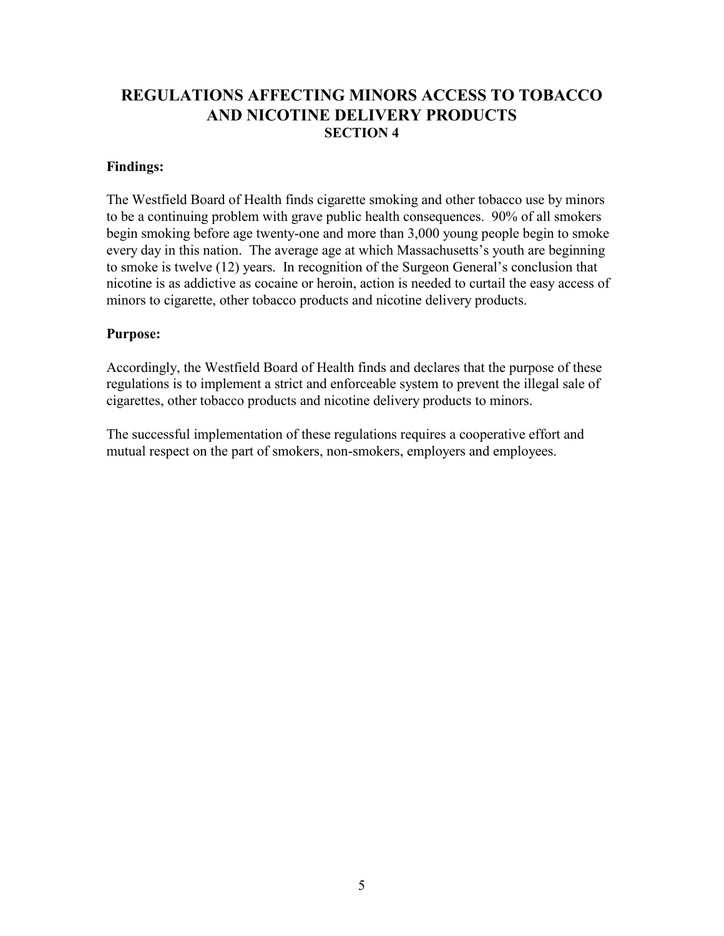## **REGULATIONS AFFECTING MINORS ACCESS TO TOBACCO AND NICOTINE DELIVERY PRODUCTS SECTION 4**

#### **Findings:**

The Westfield Board of Health finds cigarette smoking and other tobacco use by minors to be a continuing problem with grave public health consequences. 90% of all smokers begin smoking before age twenty-one and more than 3,000 young people begin to smoke every day in this nation. The average age at which Massachusetts's youth are beginning to smoke is twelve (12) years. In recognition of the Surgeon General's conclusion that nicotine is as addictive as cocaine or heroin, action is needed to curtail the easy access of minors to cigarette, other tobacco products and nicotine delivery products.

#### **Purpose:**

Accordingly, the Westfield Board of Health finds and declares that the purpose of these regulations is to implement a strict and enforceable system to prevent the illegal sale of cigarettes, other tobacco products and nicotine delivery products to minors.

The successful implementation of these regulations requires a cooperative effort and mutual respect on the part of smokers, non-smokers, employers and employees.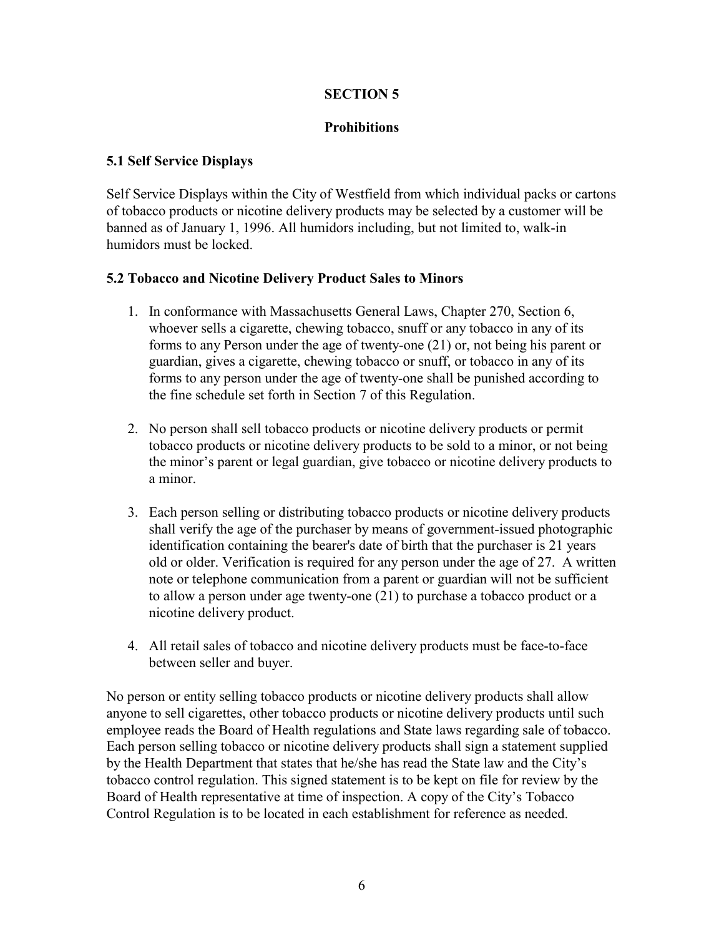## **SECTION 5**

## **Prohibitions**

## **5.1 Self Service Displays**

Self Service Displays within the City of Westfield from which individual packs or cartons of tobacco products or nicotine delivery products may be selected by a customer will be banned as of January 1, 1996. All humidors including, but not limited to, walk-in humidors must be locked.

#### **5.2 Tobacco and Nicotine Delivery Product Sales to Minors**

- 1. In conformance with Massachusetts General Laws, Chapter 270, Section 6, whoever sells a cigarette, chewing tobacco, snuff or any tobacco in any of its forms to any Person under the age of twenty-one (21) or, not being his parent or guardian, gives a cigarette, chewing tobacco or snuff, or tobacco in any of its forms to any person under the age of twenty-one shall be punished according to the fine schedule set forth in Section 7 of this Regulation.
- 2. No person shall sell tobacco products or nicotine delivery products or permit tobacco products or nicotine delivery products to be sold to a minor, or not being the minor's parent or legal guardian, give tobacco or nicotine delivery products to a minor.
- 3. Each person selling or distributing tobacco products or nicotine delivery products shall verify the age of the purchaser by means of government-issued photographic identification containing the bearer's date of birth that the purchaser is 21 years old or older. Verification is required for any person under the age of 27. A written note or telephone communication from a parent or guardian will not be sufficient to allow a person under age twenty-one (21) to purchase a tobacco product or a nicotine delivery product.
- 4. All retail sales of tobacco and nicotine delivery products must be face-to-face between seller and buyer.

No person or entity selling tobacco products or nicotine delivery products shall allow anyone to sell cigarettes, other tobacco products or nicotine delivery products until such employee reads the Board of Health regulations and State laws regarding sale of tobacco. Each person selling tobacco or nicotine delivery products shall sign a statement supplied by the Health Department that states that he/she has read the State law and the City's tobacco control regulation. This signed statement is to be kept on file for review by the Board of Health representative at time of inspection. A copy of the City's Tobacco Control Regulation is to be located in each establishment for reference as needed.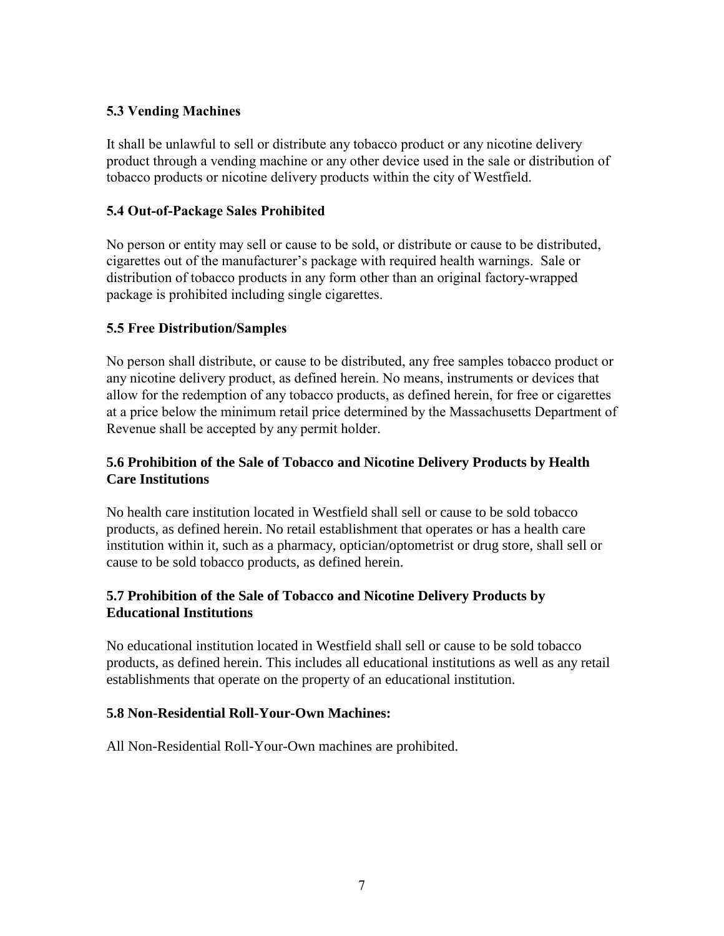## **5.3 Vending Machines**

It shall be unlawful to sell or distribute any tobacco product or any nicotine delivery product through a vending machine or any other device used in the sale or distribution of tobacco products or nicotine delivery products within the city of Westfield.

## **5.4 Out-of-Package Sales Prohibited**

No person or entity may sell or cause to be sold, or distribute or cause to be distributed, cigarettes out of the manufacturer's package with required health warnings. Sale or distribution of tobacco products in any form other than an original factory-wrapped package is prohibited including single cigarettes.

## **5.5 Free Distribution/Samples**

No person shall distribute, or cause to be distributed, any free samples tobacco product or any nicotine delivery product, as defined herein. No means, instruments or devices that allow for the redemption of any tobacco products, as defined herein, for free or cigarettes at a price below the minimum retail price determined by the Massachusetts Department of Revenue shall be accepted by any permit holder.

## **5.6 Prohibition of the Sale of Tobacco and Nicotine Delivery Products by Health Care Institutions**

No health care institution located in Westfield shall sell or cause to be sold tobacco products, as defined herein. No retail establishment that operates or has a health care institution within it, such as a pharmacy, optician/optometrist or drug store, shall sell or cause to be sold tobacco products, as defined herein.

## **5.7 Prohibition of the Sale of Tobacco and Nicotine Delivery Products by Educational Institutions**

No educational institution located in Westfield shall sell or cause to be sold tobacco products, as defined herein. This includes all educational institutions as well as any retail establishments that operate on the property of an educational institution.

## **5.8 Non-Residential Roll-Your-Own Machines:**

All Non-Residential Roll-Your-Own machines are prohibited.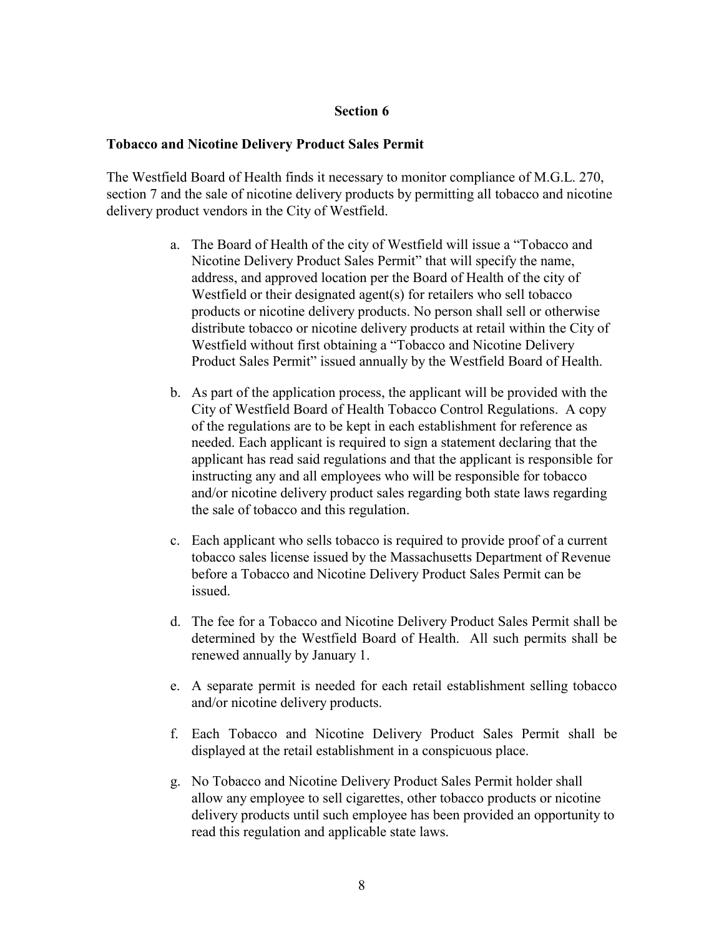#### **Section 6**

#### **Tobacco and Nicotine Delivery Product Sales Permit**

The Westfield Board of Health finds it necessary to monitor compliance of M.G.L. 270, section 7 and the sale of nicotine delivery products by permitting all tobacco and nicotine delivery product vendors in the City of Westfield.

- a. The Board of Health of the city of Westfield will issue a "Tobacco and Nicotine Delivery Product Sales Permit" that will specify the name, address, and approved location per the Board of Health of the city of Westfield or their designated agent(s) for retailers who sell tobacco products or nicotine delivery products. No person shall sell or otherwise distribute tobacco or nicotine delivery products at retail within the City of Westfield without first obtaining a "Tobacco and Nicotine Delivery Product Sales Permit" issued annually by the Westfield Board of Health.
- b. As part of the application process, the applicant will be provided with the City of Westfield Board of Health Tobacco Control Regulations. A copy of the regulations are to be kept in each establishment for reference as needed. Each applicant is required to sign a statement declaring that the applicant has read said regulations and that the applicant is responsible for instructing any and all employees who will be responsible for tobacco and/or nicotine delivery product sales regarding both state laws regarding the sale of tobacco and this regulation.
- c. Each applicant who sells tobacco is required to provide proof of a current tobacco sales license issued by the Massachusetts Department of Revenue before a Tobacco and Nicotine Delivery Product Sales Permit can be issued.
- d. The fee for a Tobacco and Nicotine Delivery Product Sales Permit shall be determined by the Westfield Board of Health. All such permits shall be renewed annually by January 1.
- e. A separate permit is needed for each retail establishment selling tobacco and/or nicotine delivery products.
- f. Each Tobacco and Nicotine Delivery Product Sales Permit shall be displayed at the retail establishment in a conspicuous place.
- g. No Tobacco and Nicotine Delivery Product Sales Permit holder shall allow any employee to sell cigarettes, other tobacco products or nicotine delivery products until such employee has been provided an opportunity to read this regulation and applicable state laws.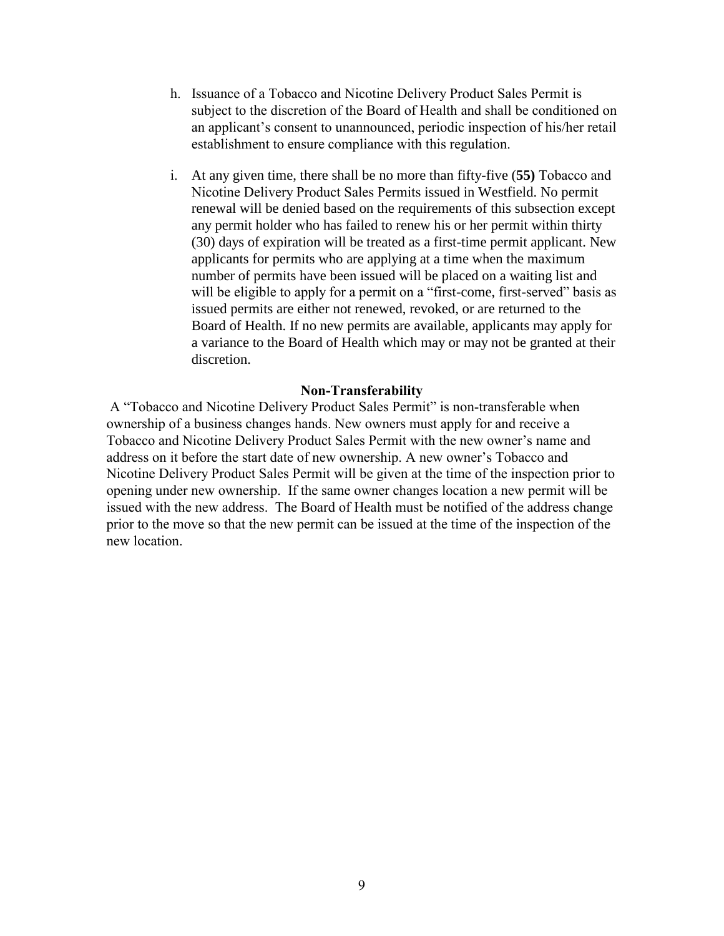- h. Issuance of a Tobacco and Nicotine Delivery Product Sales Permit is subject to the discretion of the Board of Health and shall be conditioned on an applicant's consent to unannounced, periodic inspection of his/her retail establishment to ensure compliance with this regulation.
- i. At any given time, there shall be no more than fifty-five (**55)** Tobacco and Nicotine Delivery Product Sales Permits issued in Westfield. No permit renewal will be denied based on the requirements of this subsection except any permit holder who has failed to renew his or her permit within thirty (30) days of expiration will be treated as a first-time permit applicant. New applicants for permits who are applying at a time when the maximum number of permits have been issued will be placed on a waiting list and will be eligible to apply for a permit on a "first-come, first-served" basis as issued permits are either not renewed, revoked, or are returned to the Board of Health. If no new permits are available, applicants may apply for a variance to the Board of Health which may or may not be granted at their discretion.

#### **Non-Transferability**

A "Tobacco and Nicotine Delivery Product Sales Permit" is non-transferable when ownership of a business changes hands. New owners must apply for and receive a Tobacco and Nicotine Delivery Product Sales Permit with the new owner's name and address on it before the start date of new ownership. A new owner's Tobacco and Nicotine Delivery Product Sales Permit will be given at the time of the inspection prior to opening under new ownership. If the same owner changes location a new permit will be issued with the new address. The Board of Health must be notified of the address change prior to the move so that the new permit can be issued at the time of the inspection of the new location.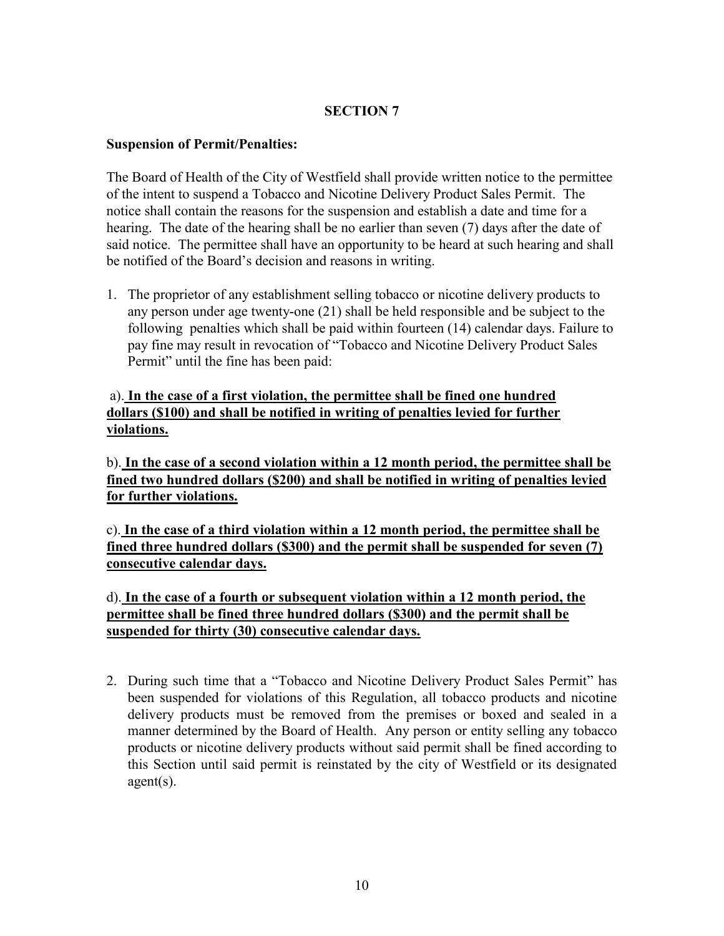## **SECTION 7**

#### **Suspension of Permit/Penalties:**

The Board of Health of the City of Westfield shall provide written notice to the permittee of the intent to suspend a Tobacco and Nicotine Delivery Product Sales Permit. The notice shall contain the reasons for the suspension and establish a date and time for a hearing. The date of the hearing shall be no earlier than seven (7) days after the date of said notice. The permittee shall have an opportunity to be heard at such hearing and shall be notified of the Board's decision and reasons in writing.

1. The proprietor of any establishment selling tobacco or nicotine delivery products to any person under age twenty-one (21) shall be held responsible and be subject to the following penalties which shall be paid within fourteen (14) calendar days. Failure to pay fine may result in revocation of "Tobacco and Nicotine Delivery Product Sales Permit" until the fine has been paid:

## a). **In the case of a first violation, the permittee shall be fined one hundred dollars (\$100) and shall be notified in writing of penalties levied for further violations.**

b). **In the case of a second violation within a 12 month period, the permittee shall be fined two hundred dollars (\$200) and shall be notified in writing of penalties levied for further violations.**

c). **In the case of a third violation within a 12 month period, the permittee shall be fined three hundred dollars (\$300) and the permit shall be suspended for seven (7) consecutive calendar days.**

d). **In the case of a fourth or subsequent violation within a 12 month period, the permittee shall be fined three hundred dollars (\$300) and the permit shall be suspended for thirty (30) consecutive calendar days.** 

2. During such time that a "Tobacco and Nicotine Delivery Product Sales Permit" has been suspended for violations of this Regulation, all tobacco products and nicotine delivery products must be removed from the premises or boxed and sealed in a manner determined by the Board of Health. Any person or entity selling any tobacco products or nicotine delivery products without said permit shall be fined according to this Section until said permit is reinstated by the city of Westfield or its designated agent(s).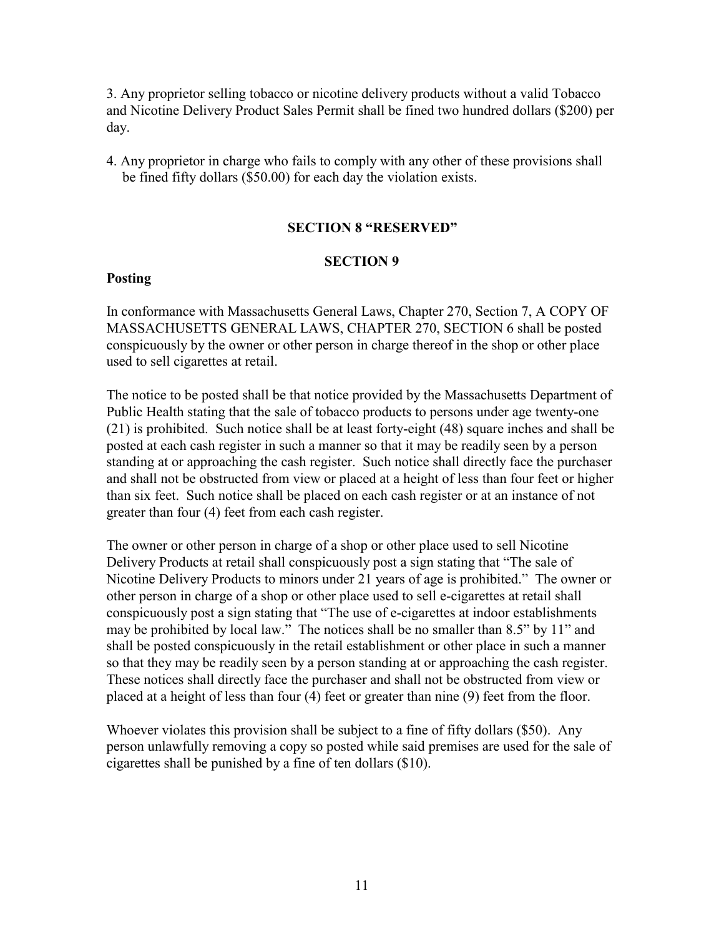3. Any proprietor selling tobacco or nicotine delivery products without a valid Tobacco and Nicotine Delivery Product Sales Permit shall be fined two hundred dollars (\$200) per day.

4. Any proprietor in charge who fails to comply with any other of these provisions shall be fined fifty dollars (\$50.00) for each day the violation exists.

#### **SECTION 8 "RESERVED"**

#### **SECTION 9**

#### **Posting**

In conformance with Massachusetts General Laws, Chapter 270, Section 7, A COPY OF MASSACHUSETTS GENERAL LAWS, CHAPTER 270, SECTION 6 shall be posted conspicuously by the owner or other person in charge thereof in the shop or other place used to sell cigarettes at retail.

The notice to be posted shall be that notice provided by the Massachusetts Department of Public Health stating that the sale of tobacco products to persons under age twenty-one (21) is prohibited. Such notice shall be at least forty-eight (48) square inches and shall be posted at each cash register in such a manner so that it may be readily seen by a person standing at or approaching the cash register. Such notice shall directly face the purchaser and shall not be obstructed from view or placed at a height of less than four feet or higher than six feet. Such notice shall be placed on each cash register or at an instance of not greater than four (4) feet from each cash register.

The owner or other person in charge of a shop or other place used to sell Nicotine Delivery Products at retail shall conspicuously post a sign stating that "The sale of Nicotine Delivery Products to minors under 21 years of age is prohibited." The owner or other person in charge of a shop or other place used to sell e-cigarettes at retail shall conspicuously post a sign stating that "The use of e-cigarettes at indoor establishments may be prohibited by local law." The notices shall be no smaller than 8.5" by 11" and shall be posted conspicuously in the retail establishment or other place in such a manner so that they may be readily seen by a person standing at or approaching the cash register. These notices shall directly face the purchaser and shall not be obstructed from view or placed at a height of less than four (4) feet or greater than nine (9) feet from the floor.

Whoever violates this provision shall be subject to a fine of fifty dollars (\$50). Any person unlawfully removing a copy so posted while said premises are used for the sale of cigarettes shall be punished by a fine of ten dollars (\$10).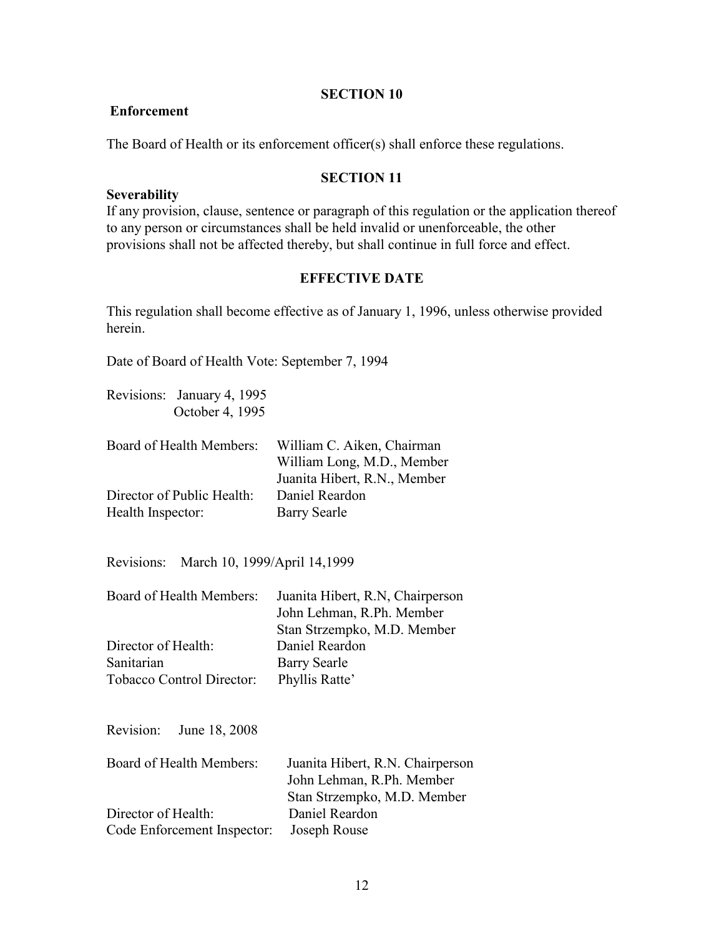#### **SECTION 10**

#### **Enforcement**

The Board of Health or its enforcement officer(s) shall enforce these regulations.

#### **SECTION 11**

#### **Severability**

If any provision, clause, sentence or paragraph of this regulation or the application thereof to any person or circumstances shall be held invalid or unenforceable, the other provisions shall not be affected thereby, but shall continue in full force and effect.

#### **EFFECTIVE DATE**

This regulation shall become effective as of January 1, 1996, unless otherwise provided herein.

Date of Board of Health Vote: September 7, 1994

Revisions: January 4, 1995 October 4, 1995

| Board of Health Members:   | William C. Aiken, Chairman   |
|----------------------------|------------------------------|
|                            | William Long, M.D., Member   |
|                            | Juanita Hibert, R.N., Member |
| Director of Public Health: | Daniel Reardon               |
| Health Inspector:          | Barry Searle                 |

Revisions: March 10, 1999/April 14,1999

| Board of Health Members:<br>Director of Health:<br>Sanitarian<br><b>Tobacco Control Director:</b> | Juanita Hibert, R.N. Chairperson<br>John Lehman, R.Ph. Member<br>Stan Strzempko, M.D. Member<br>Daniel Reardon<br><b>Barry Searle</b><br>Phyllis Ratte' |
|---------------------------------------------------------------------------------------------------|---------------------------------------------------------------------------------------------------------------------------------------------------------|
| Revision:<br>June 18, 2008                                                                        |                                                                                                                                                         |
| Board of Health Members:                                                                          | Juanita Hibert, R.N. Chairperson<br>John Lehman, R.Ph. Member<br>$\chi$ tan $\chi$ trzemn $k$ o M $\Omega$ Member                                       |

|                                          | Stan Strzempko, M.D. Member |
|------------------------------------------|-----------------------------|
| Director of Health:                      | Daniel Reardon              |
| Code Enforcement Inspector: Joseph Rouse |                             |